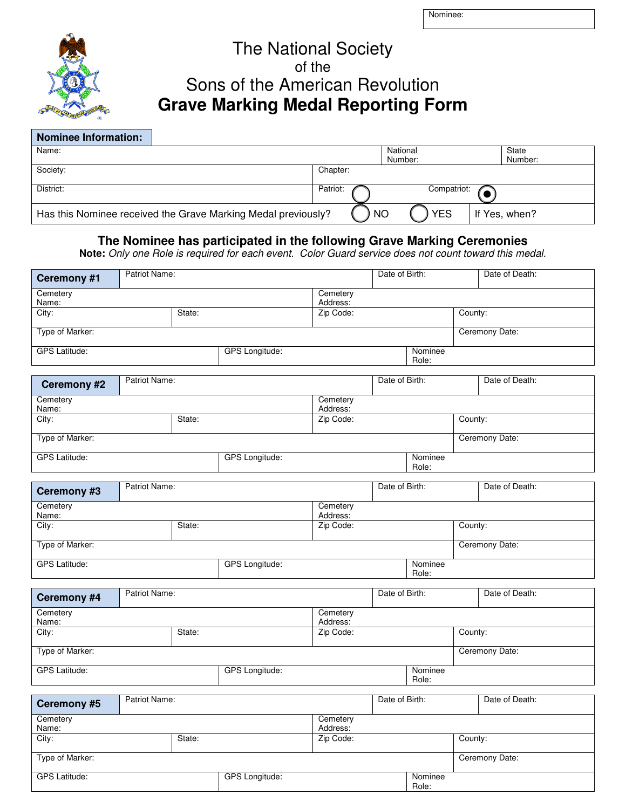Nominee:



## The National Society of the Sons of the American Revolution **Grave Marking Medal Reporting Form**

| <b>Nominee Information:</b>                                   |           |             |               |
|---------------------------------------------------------------|-----------|-------------|---------------|
| Name:                                                         |           | National    | State         |
|                                                               |           | Number:     | Number:       |
| Society:                                                      | Chapter:  |             |               |
| District:                                                     | Patriot:  | Compatriot: |               |
| Has this Nominee received the Grave Marking Medal previously? | <b>NO</b> | <b>YES</b>  | If Yes, when? |

## **The Nominee has participated in the following Grave Marking Ceremonies**

**Note:** Only one Role is required for each event. Color Guard service does not count toward this medal.

| Ceremony #1                                   | Patriot Name: |  |                       |                      | Date of Birth: |                  |         | Date of Death: |  |
|-----------------------------------------------|---------------|--|-----------------------|----------------------|----------------|------------------|---------|----------------|--|
| Cemetery<br>Name:                             |               |  |                       | Cemetery<br>Address: |                |                  |         |                |  |
| City:                                         | State:        |  | Zip Code:             |                      |                |                  |         | County:        |  |
| Type of Marker:                               |               |  |                       |                      | Ceremony Date: |                  |         |                |  |
| <b>GPS Latitude:</b><br>GPS Longitude:        |               |  |                       | Nominee<br>Role:     |                |                  |         |                |  |
| Ceremony #2                                   | Patriot Name: |  |                       |                      | Date of Birth: |                  |         | Date of Death: |  |
| Cemetery<br>Name:                             |               |  |                       | Cemetery<br>Address: |                |                  |         |                |  |
| City:                                         | State:        |  | Zip Code:             |                      |                | County:          |         |                |  |
| Type of Marker:                               |               |  |                       |                      |                |                  |         | Ceremony Date: |  |
| <b>GPS Latitude:</b>                          |               |  | <b>GPS Longitude:</b> |                      |                | Nominee<br>Role: |         |                |  |
| Ceremony #3                                   | Patriot Name: |  |                       |                      | Date of Birth: |                  |         | Date of Death: |  |
| Cemetery<br>Name:                             |               |  |                       | Cemetery<br>Address: |                |                  |         |                |  |
| City:                                         | State:        |  |                       | Zip Code:            |                |                  | County: |                |  |
| Type of Marker:                               |               |  |                       |                      |                |                  |         | Ceremony Date: |  |
| <b>GPS Latitude:</b><br><b>GPS</b> Longitude: |               |  | Nominee<br>Role:      |                      |                |                  |         |                |  |
| Ceremony #4                                   | Patriot Name: |  |                       |                      | Date of Birth: |                  |         | Date of Death: |  |
| Cemetery<br>Name:                             |               |  |                       | Cemetery<br>Address: |                |                  |         |                |  |
| City:                                         | State:        |  |                       | Zip Code:            |                |                  | County: |                |  |
| Type of Marker:                               |               |  |                       |                      |                |                  |         | Ceremony Date: |  |
| <b>GPS Latitude:</b>                          |               |  | <b>GPS</b> Longitude: |                      |                | Nominee<br>Role: |         |                |  |
| Ceremony #5                                   | Patriot Name: |  |                       |                      | Date of Birth: |                  |         | Date of Death: |  |
| Cemetery                                      |               |  |                       | Cemetery<br>Address: |                |                  |         |                |  |
| Name:<br>City:<br>State:                      |               |  | Zip Code:             |                      |                | County:          |         |                |  |
| Type of Marker:                               |               |  |                       |                      |                |                  |         | Ceremony Date: |  |

Role:

GPS Latitude: GPS Longitude: Nominee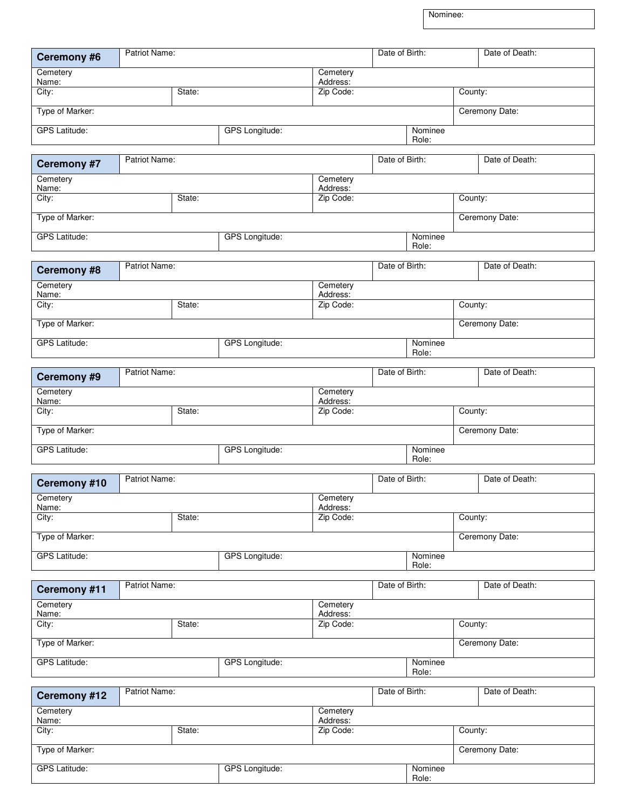Nominee:

Role:

| <b>Ceremony #6</b>                            | Patriot Name:         |                                 |                       |                       | Date of Birth:                   |                  |                | Date of Death: |  |
|-----------------------------------------------|-----------------------|---------------------------------|-----------------------|-----------------------|----------------------------------|------------------|----------------|----------------|--|
| Cemetery                                      | Cemetery              |                                 |                       |                       |                                  |                  |                |                |  |
| Name:<br>City:                                |                       | Address:<br>State:              |                       | Zip Code:             | County:                          |                  |                |                |  |
| Type of Marker:                               |                       |                                 |                       |                       |                                  |                  |                | Ceremony Date: |  |
|                                               |                       |                                 |                       |                       |                                  |                  |                |                |  |
| <b>GPS Latitude:</b>                          |                       |                                 | <b>GPS</b> Longitude: |                       |                                  | Nominee<br>Role: |                |                |  |
| <b>Ceremony #7</b>                            | Patriot Name:         |                                 |                       |                       | Date of Birth:                   |                  |                | Date of Death: |  |
| Cemetery<br>Name:                             |                       |                                 |                       | Cemetery<br>Address:  |                                  |                  |                |                |  |
| City:                                         |                       | State:                          |                       | Zip Code:             |                                  |                  | County:        |                |  |
| Type of Marker:                               |                       |                                 |                       |                       |                                  |                  |                | Ceremony Date: |  |
| <b>GPS Latitude:</b>                          |                       |                                 | GPS Longitude:        |                       | Nominee<br>Role:                 |                  |                |                |  |
| <b>Ceremony #8</b>                            | Patriot Name:         |                                 |                       |                       | Date of Birth:                   |                  |                | Date of Death: |  |
| Cemetery<br>Name:                             |                       |                                 |                       | Cemetery<br>Address:  |                                  |                  |                |                |  |
| City:                                         |                       | State:                          |                       | Zip Code:             |                                  |                  | County:        |                |  |
| Type of Marker:                               |                       |                                 |                       |                       |                                  |                  |                | Ceremony Date: |  |
| <b>GPS Latitude:</b>                          | GPS Longitude:        |                                 |                       | Nominee<br>Role:      |                                  |                  |                |                |  |
|                                               |                       |                                 |                       |                       |                                  |                  |                |                |  |
| Ceremony #9                                   | Patriot Name:         |                                 |                       |                       | Date of Birth:<br>Date of Death: |                  |                |                |  |
| Cemetery<br>Name:                             |                       |                                 |                       | Cemetery<br>Address:  |                                  |                  |                |                |  |
| City:                                         | State:                |                                 |                       | Zip Code:             |                                  |                  | County:        |                |  |
| Type of Marker:                               |                       |                                 |                       |                       |                                  |                  |                | Ceremony Date: |  |
| <b>GPS Latitude:</b><br><b>GPS</b> Longitude: |                       |                                 |                       |                       | Nominee<br>Role:                 |                  |                |                |  |
| Ceremony #10                                  | Patriot Name:         |                                 |                       |                       | Date of Birth:                   |                  |                | Date of Death: |  |
| Cemetery                                      |                       |                                 |                       | Cemetery              |                                  |                  |                |                |  |
| Name:<br>City:                                |                       | Address:<br>State:              |                       | Zip Code:             |                                  |                  |                | County:        |  |
| Type of Marker:                               |                       |                                 |                       |                       |                                  |                  |                | Ceremony Date: |  |
|                                               |                       |                                 |                       |                       |                                  |                  |                |                |  |
| <b>GPS Latitude:</b>                          | <b>GPS</b> Longitude: |                                 |                       | Nominee<br>Role:      |                                  |                  |                |                |  |
| Ceremony #11                                  | Patriot Name:         |                                 |                       |                       | Date of Birth:                   |                  |                | Date of Death: |  |
| Cemetery                                      |                       |                                 |                       | Cemetery              |                                  |                  |                |                |  |
| Name:<br>City:                                |                       | Address:<br>Zip Code:<br>State: |                       | County:               |                                  |                  |                |                |  |
| Type of Marker:                               |                       |                                 |                       |                       |                                  |                  |                | Ceremony Date: |  |
| <b>GPS Latitude:</b>                          | <b>GPS Longitude:</b> |                                 |                       | Nominee<br>Role:      |                                  |                  |                |                |  |
|                                               | Patriot Name:         |                                 |                       | Date of Birth:        |                                  |                  | Date of Death: |                |  |
| Ceremony #12<br>Cemetery                      |                       |                                 |                       | Cemetery              |                                  |                  |                |                |  |
| Name:<br>City:                                |                       | State:                          |                       | Address:<br>Zip Code: |                                  |                  | County:        |                |  |
|                                               |                       |                                 |                       |                       |                                  |                  |                |                |  |
| Type of Marker:                               |                       |                                 |                       |                       |                                  |                  |                | Ceremony Date: |  |
| <b>GPS Latitude:</b>                          |                       |                                 | <b>GPS</b> Longitude: |                       |                                  | Nominee          |                |                |  |